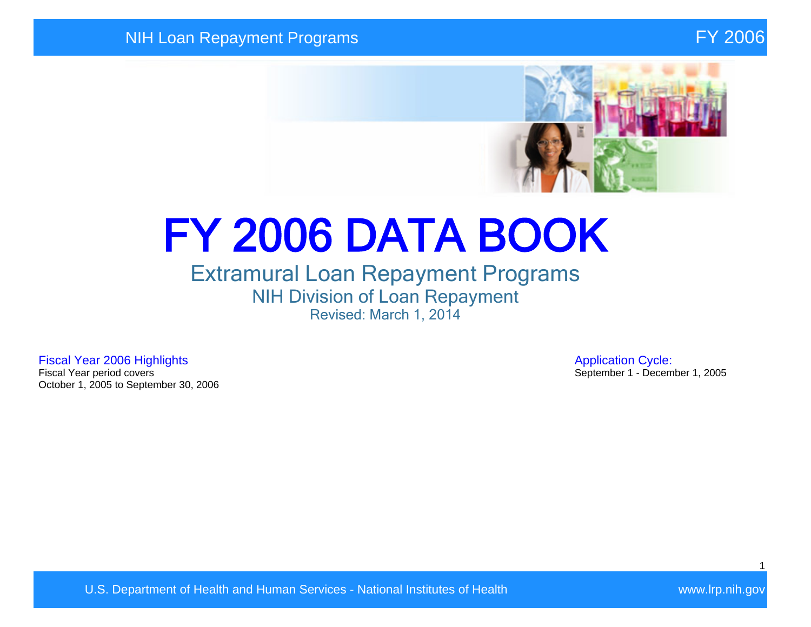

# FY 2006 DATA BOOK

## Extramural Loan Repayment Programs NIH Division of Loan Repayment Revised: March 1, 2014

Fiscal Year 2006 Highlights **Application Cycle:**<br>Fiscal Year period covers **Application Cycle:**<br>September 1 - Decem October 1, 2005 to September 30, 2006

September 1 - December 1, 2005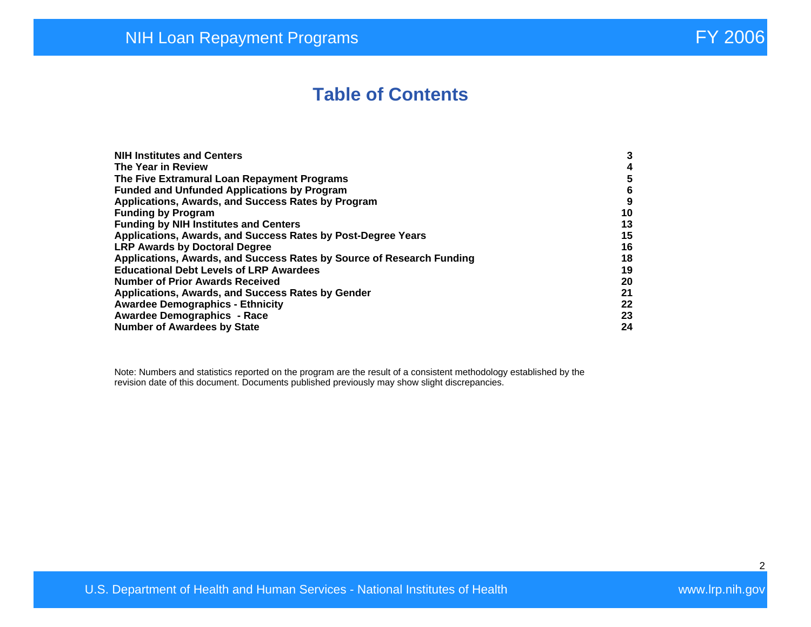# **Table of Contents**

| <b>NIH Institutes and Centers</b>                                     | 3  |
|-----------------------------------------------------------------------|----|
| The Year in Review                                                    | 4  |
| The Five Extramural Loan Repayment Programs                           | 5  |
| <b>Funded and Unfunded Applications by Program</b>                    | 6  |
| Applications, Awards, and Success Rates by Program                    | 9  |
| <b>Funding by Program</b>                                             | 10 |
| <b>Funding by NIH Institutes and Centers</b>                          | 13 |
| Applications, Awards, and Success Rates by Post-Degree Years          | 15 |
| <b>LRP Awards by Doctoral Degree</b>                                  | 16 |
| Applications, Awards, and Success Rates by Source of Research Funding | 18 |
| <b>Educational Debt Levels of LRP Awardees</b>                        | 19 |
| <b>Number of Prior Awards Received</b>                                | 20 |
| Applications, Awards, and Success Rates by Gender                     | 21 |
| <b>Awardee Demographics - Ethnicity</b>                               | 22 |
| <b>Awardee Demographics - Race</b>                                    | 23 |
| <b>Number of Awardees by State</b>                                    | 24 |

Note: Numbers and statistics reported on the program are the result of a consistent methodology established by the revision date of this document. Documents published previously may show slight discrepancies.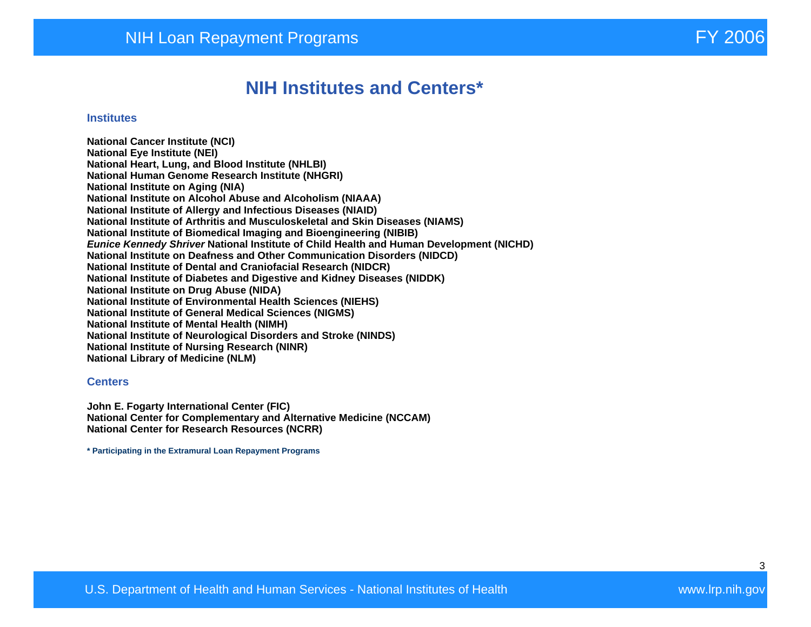## **NIH Institutes and Centers\***

#### **Institutes**

**National Cancer Institute (NCI) National Eye Institute (NEI) National Heart, Lung, and Blood Institute (NHLBI) National Human Genome Research Institute (NHGRI) National Institute on Aging (NIA) National Institute on Alcohol Abuse and Alcoholism (NIAAA) National Institute of Allergy and Infectious Diseases (NIAID) National Institute of Arthritis and Musculoskeletal and Skin Diseases (NIAMS) National Institute of Biomedical Imaging and Bioengineering (NIBIB) Eunice Kennedy Shriver National Institute of Child Health and Human Development (NICHD) National Institute on Deafness and Other Communication Disorders (NIDCD) National Institute of Dental and Craniofacial Research (NIDCR) National Institute of Diabetes and Digestive and Kidney Diseases (NIDDK) National Institute on Drug Abuse (NIDA) National Institute of Environmental Health Sciences (NIEHS) National Institute of General Medical Sciences (NIGMS) National Institute of Mental Health (NIMH) National Institute of Neurological Disorders and Stroke (NINDS) National Institute of Nursing Research (NINR) National Library of Medicine (NLM)** 

#### **Centers**

**John E. Fogarty International Center (FIC) National Center for Complementary and Alternative Medicine (NCCAM) National Center for Research Resources (NCRR)** 

**\* Participating in the Extramural Loan Repayment Programs**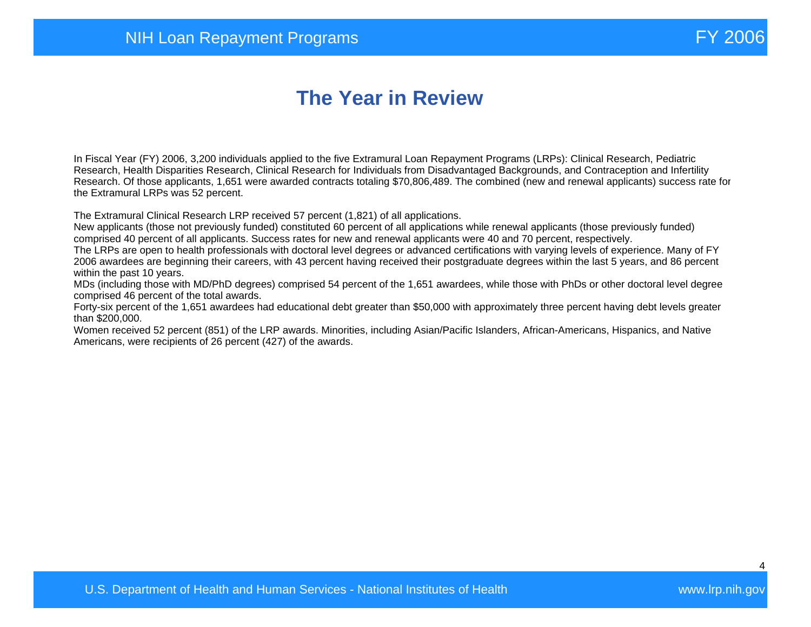# **The Year in Review**

In Fiscal Year (FY) 2006, 3,200 individuals applied to the five Extramural Loan Repayment Programs (LRPs): Clinical Research, Pediatric Research, Health Disparities Research, Clinical Research for Individuals from Disadvantaged Backgrounds, and Contraception and Infertility Research. Of those applicants, 1,651 were awarded contracts totaling \$70,806,489. The combined (new and renewal applicants) success rate for the Extramural LRPs was 52 percent.

The Extramural Clinical Research LRP received 57 percent (1,821) of all applications.

New applicants (those not previously funded) constituted 60 percent of all applications while renewal applicants (those previously funded) comprised 40 percent of all applicants. Success rates for new and renewal applicants were 40 and 70 percent, respectively.

The LRPs are open to health professionals with doctoral level degrees or advanced certifications with varying levels of experience. Many of FY 2006 awardees are beginning their careers, with 43 percent having received their postgraduate degrees within the last 5 years, and 86 percent within the past 10 years.

MDs (including those with MD/PhD degrees) comprised 54 percent of the 1,651 awardees, while those with PhDs or other doctoral level degree comprised 46 percent of the total awards.

Forty-six percent of the 1,651 awardees had educational debt greater than \$50,000 with approximately three percent having debt levels greater than \$200,000.

Women received 52 percent (851) of the LRP awards. Minorities, including Asian/Pacific Islanders, African-Americans, Hispanics, and Native Americans, were recipients of 26 percent (427) of the awards.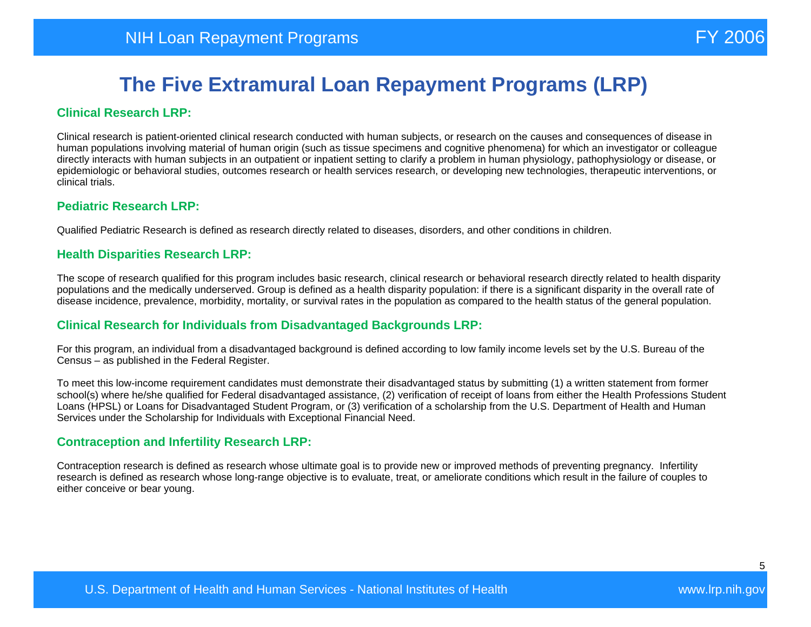#### **Clinical Research LRP:**

Clinical research is patient-oriented clinical research conducted with human subjects, or research on the causes and consequences of disease in human populations involving material of human origin (such as tissue specimens and cognitive phenomena) for which an investigator or colleague directly interacts with human subjects in an outpatient or inpatient setting to clarify a problem in human physiology, pathophysiology or disease, or epidemiologic or behavioral studies, outcomes research or health services research, or developing new technologies, therapeutic interventions, or clinical trials.

#### **Pediatric Research LRP:**

Qualified Pediatric Research is defined as research directly related to diseases, disorders, and other conditions in children.

#### **Health Disparities Research LRP:**

The scope of research qualified for this program includes basic research, clinical research or behavioral research directly related to health disparity populations and the medically underserved. Group is defined as a health disparity population: if there is a significant disparity in the overall rate of disease incidence, prevalence, morbidity, mortality, or survival rates in the population as compared to the health status of the general population.

#### **Clinical Research for Individuals from Disadvantaged Backgrounds LRP:**

For this program, an individual from a disadvantaged background is defined according to low family income levels set by the U.S. Bureau of the Census – as published in the Federal Register.

To meet this low-income requirement candidates must demonstrate their disadvantaged status by submitting (1) a written statement from former school(s) where he/she qualified for Federal disadvantaged assistance, (2) verification of receipt of loans from either the Health Professions Student Loans (HPSL) or Loans for Disadvantaged Student Program, or (3) verification of a scholarship from the U.S. Department of Health and Human Services under the Scholarship for Individuals with Exceptional Financial Need.

#### **Contraception and Infertility Research LRP:**

Contraception research is defined as research whose ultimate goal is to provide new or improved methods of preventing pregnancy. Infertility research is defined as research whose long-range objective is to evaluate, treat, or ameliorate conditions which result in the failure of couples to either conceive or bear young.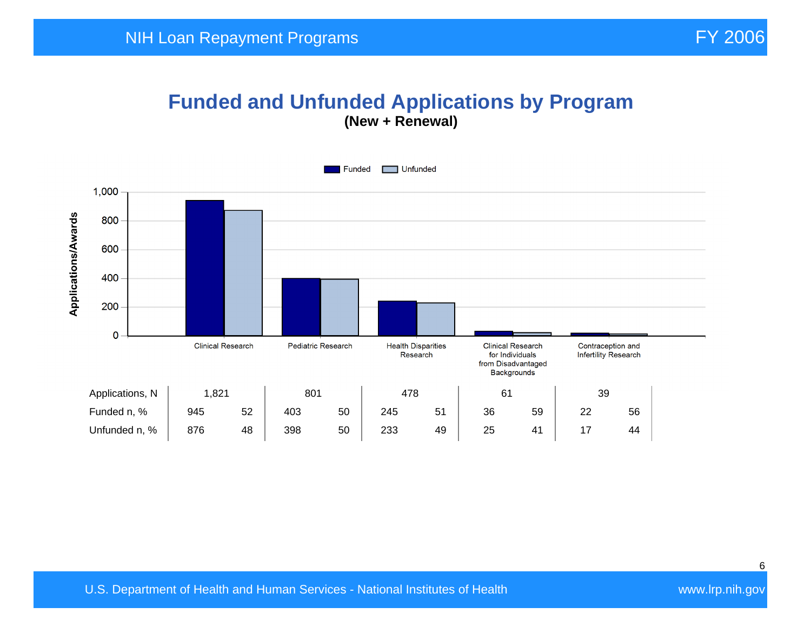### **Funded and Unfunded Applications by Program (New + Renewal)**

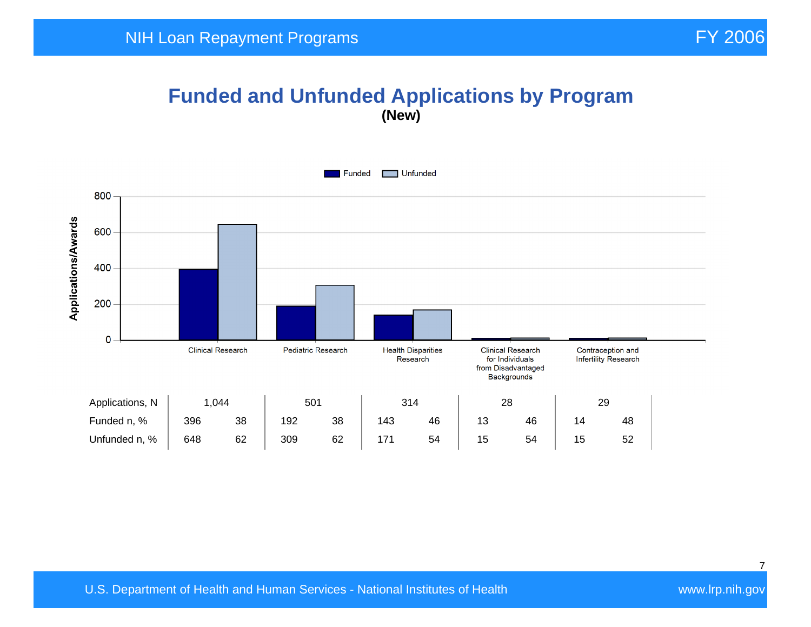## **Funded and Unfunded Applications by Program (New)**

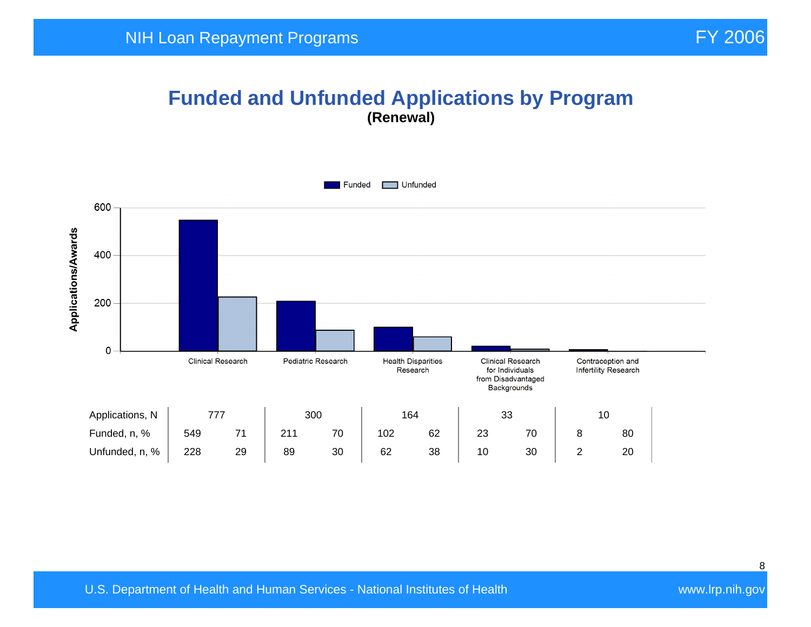#### **Funded and Unfunded Applications by Program (Renewal)**

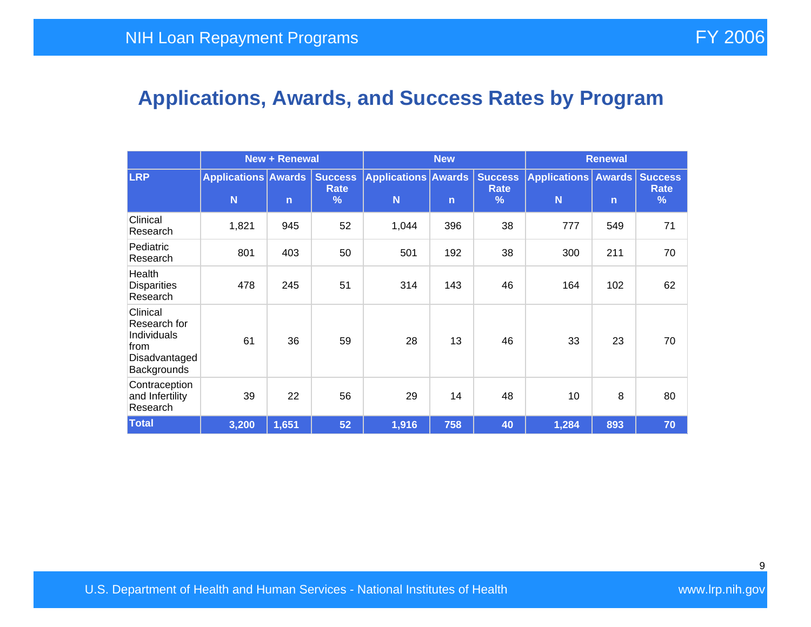# **Applications, Awards, and Success Rates by Program**

|                                                                                 |                                 | <b>New + Renewal</b> |                             | <b>New</b>                      |              |                             | <b>Renewal</b>                      |              |                             |
|---------------------------------------------------------------------------------|---------------------------------|----------------------|-----------------------------|---------------------------------|--------------|-----------------------------|-------------------------------------|--------------|-----------------------------|
| <b>LRP</b>                                                                      | <b>Applications Awards</b><br>N | $\overline{n}$       | <b>Success</b><br>Rate<br>% | <b>Applications Awards</b><br>N | $\mathsf{n}$ | <b>Success</b><br>Rate<br>% | <b>Applications   Awards  </b><br>N | $\mathsf{n}$ | <b>Success</b><br>Rate<br>% |
| Clinical<br>Research                                                            | 1,821                           | 945                  | 52                          | 1,044                           | 396          | 38                          | 777                                 | 549          | 71                          |
| Pediatric<br>Research                                                           | 801                             | 403                  | 50                          | 501                             | 192          | 38                          | 300                                 | 211          | 70                          |
| Health<br><b>Disparities</b><br>Research                                        | 478                             | 245                  | 51                          | 314                             | 143          | 46                          | 164                                 | 102          | 62                          |
| Clinical<br>Research for<br>Individuals<br>from<br>Disadvantaged<br>Backgrounds | 61                              | 36                   | 59                          | 28                              | 13           | 46                          | 33                                  | 23           | 70                          |
| Contraception<br>and Infertility<br>Research                                    | 39                              | 22                   | 56                          | 29                              | 14           | 48                          | 10                                  | 8            | 80                          |
| <b>Total</b>                                                                    | 3,200                           | 1,651                | 52                          | 1,916                           | 758          | 40                          | 1,284                               | 893          | 70                          |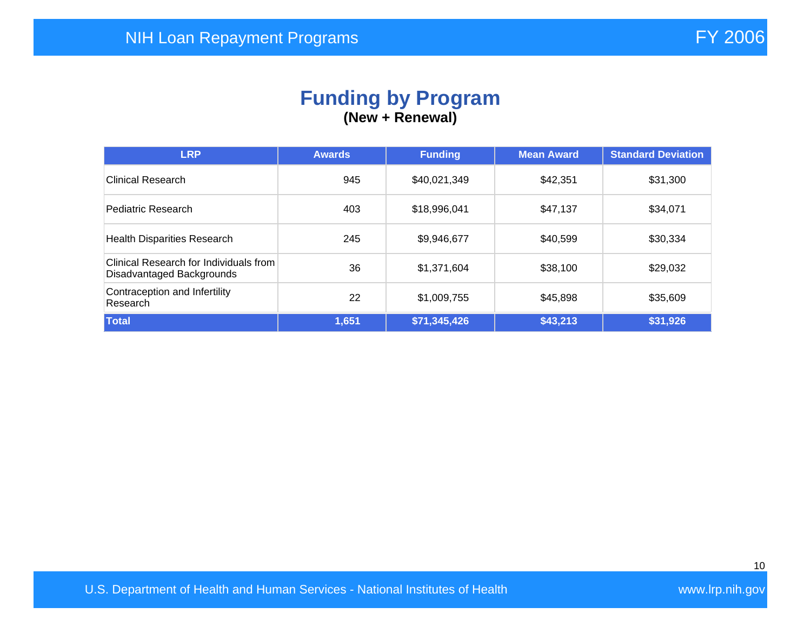#### **Funding by Program (New + Renewal)**

| <b>LRP</b>                                                          | <b>Awards</b> | <b>Funding</b> | <b>Mean Award</b> | <b>Standard Deviation</b> |
|---------------------------------------------------------------------|---------------|----------------|-------------------|---------------------------|
| Clinical Research                                                   | 945           | \$40,021,349   | \$42,351          | \$31,300                  |
| Pediatric Research                                                  | 403           | \$18,996,041   | \$47,137          | \$34,071                  |
| <b>Health Disparities Research</b>                                  | 245           | \$9,946,677    | \$40,599          | \$30,334                  |
| Clinical Research for Individuals from<br>Disadvantaged Backgrounds | 36            | \$1,371,604    | \$38,100          | \$29,032                  |
| Contraception and Infertility<br>Research                           | 22            | \$1,009,755    | \$45,898          | \$35,609                  |
| Total                                                               | 1,651         | \$71,345,426   | \$43,213          | \$31,926                  |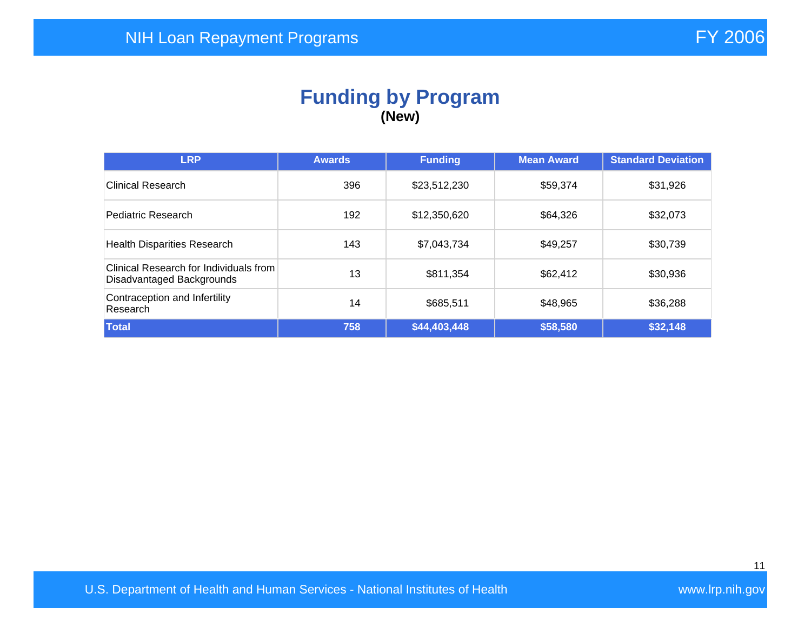### **Funding by Program (New)**

| <b>LRP</b>                                                          | <b>Awards</b> | <b>Funding</b> | <b>Mean Award</b> | <b>Standard Deviation</b> |
|---------------------------------------------------------------------|---------------|----------------|-------------------|---------------------------|
| <b>Clinical Research</b>                                            | 396           | \$23,512,230   | \$59,374          | \$31,926                  |
| Pediatric Research                                                  | 192           | \$12,350,620   | \$64,326          | \$32,073                  |
| <b>Health Disparities Research</b>                                  | 143           | \$7,043,734    | \$49,257          | \$30,739                  |
| Clinical Research for Individuals from<br>Disadvantaged Backgrounds | 13            | \$811,354      | \$62,412          | \$30,936                  |
| Contraception and Infertility<br>Research                           | 14            | \$685,511      | \$48,965          | \$36,288                  |
| Total                                                               | 758           | \$44,403,448   | \$58,580          | \$32,148                  |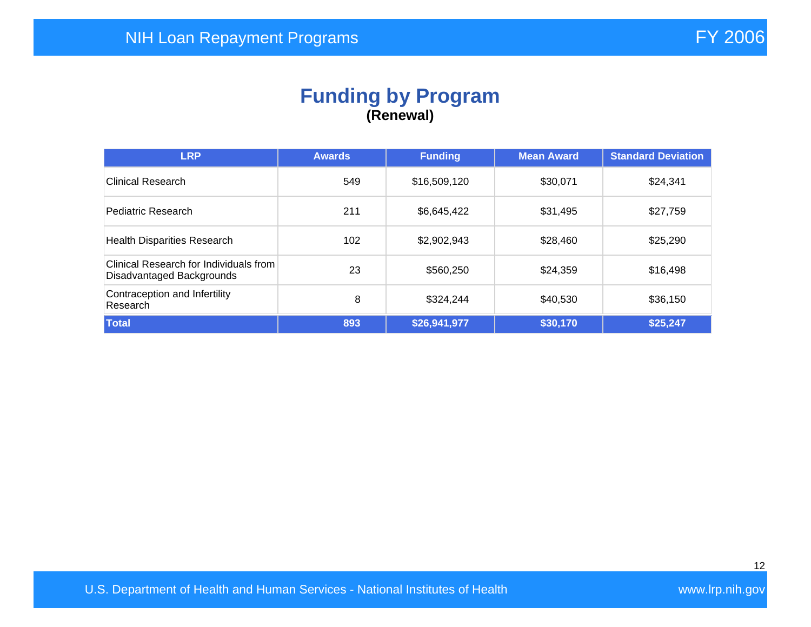## **Funding by Program (Renewal)**

| <b>LRP</b>                                                          | <b>Awards</b> | <b>Funding</b> | <b>Mean Award</b> | <b>Standard Deviation</b> |
|---------------------------------------------------------------------|---------------|----------------|-------------------|---------------------------|
| Clinical Research                                                   | 549           | \$16,509,120   | \$30,071          | \$24,341                  |
| Pediatric Research                                                  | 211           | \$6,645,422    | \$31,495          | \$27,759                  |
| <b>Health Disparities Research</b>                                  | 102           | \$2,902,943    | \$28,460          | \$25,290                  |
| Clinical Research for Individuals from<br>Disadvantaged Backgrounds | 23            | \$560,250      | \$24,359          | \$16,498                  |
| Contraception and Infertility<br>Research                           | 8             | \$324,244      | \$40,530          | \$36,150                  |
| Total                                                               | 893           | \$26,941,977   | \$30,170          | \$25,247                  |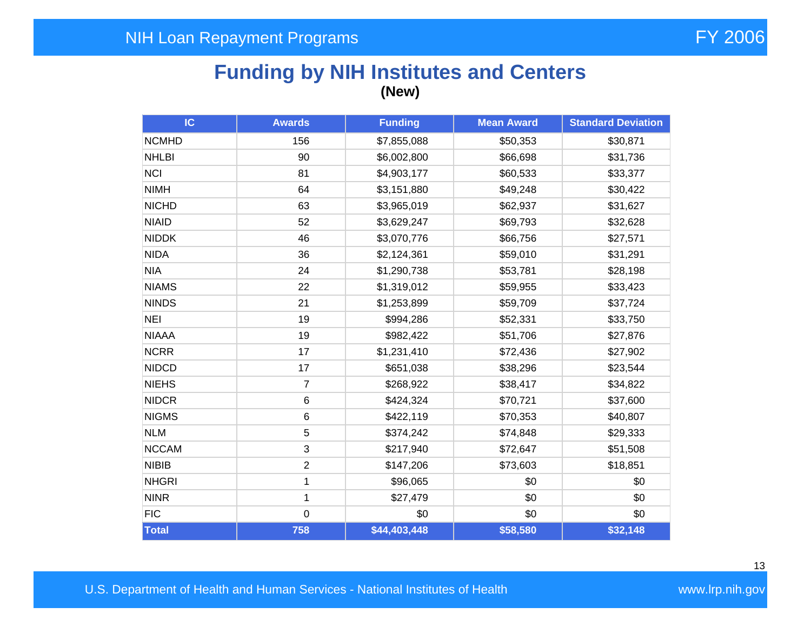# **Funding by NIH Institutes and Centers (New)**

| IC           | <b>Awards</b>  | <b>Funding</b> | <b>Mean Award</b> | <b>Standard Deviation</b> |
|--------------|----------------|----------------|-------------------|---------------------------|
| <b>NCMHD</b> | 156            | \$7,855,088    | \$50,353          | \$30,871                  |
| <b>NHLBI</b> | 90             | \$6,002,800    | \$66,698          | \$31,736                  |
| <b>NCI</b>   | 81             | \$4,903,177    | \$60,533          | \$33,377                  |
| <b>NIMH</b>  | 64             | \$3,151,880    | \$49,248          | \$30,422                  |
| <b>NICHD</b> | 63             | \$3,965,019    | \$62,937          | \$31,627                  |
| <b>NIAID</b> | 52             | \$3,629,247    | \$69,793          | \$32,628                  |
| <b>NIDDK</b> | 46             | \$3,070,776    | \$66,756          | \$27,571                  |
| <b>NIDA</b>  | 36             | \$2,124,361    | \$59,010          | \$31,291                  |
| <b>NIA</b>   | 24             | \$1,290,738    | \$53,781          | \$28,198                  |
| <b>NIAMS</b> | 22             | \$1,319,012    | \$59,955          | \$33,423                  |
| <b>NINDS</b> | 21             | \$1,253,899    | \$59,709          | \$37,724                  |
| <b>NEI</b>   | 19             | \$994,286      | \$52,331          | \$33,750                  |
| <b>NIAAA</b> | 19             | \$982,422      | \$51,706          | \$27,876                  |
| <b>NCRR</b>  | 17             | \$1,231,410    | \$72,436          | \$27,902                  |
| <b>NIDCD</b> | 17             | \$651,038      | \$38,296          | \$23,544                  |
| <b>NIEHS</b> | $\overline{7}$ | \$268,922      | \$38,417          | \$34,822                  |
| <b>NIDCR</b> | 6              | \$424,324      | \$70,721          | \$37,600                  |
| <b>NIGMS</b> | 6              | \$422,119      | \$70,353          | \$40,807                  |
| <b>NLM</b>   | 5              | \$374,242      | \$74,848          | \$29,333                  |
| <b>NCCAM</b> | 3              | \$217,940      | \$72,647          | \$51,508                  |
| <b>NIBIB</b> | $\overline{2}$ | \$147,206      | \$73,603          | \$18,851                  |
| <b>NHGRI</b> | 1              | \$96,065       | \$0               | \$0                       |
| <b>NINR</b>  | 1              | \$27,479       | \$0               | \$0                       |
| <b>FIC</b>   | $\pmb{0}$      | \$0            | \$0               | \$0                       |
| Total        | 758            | \$44,403,448   | \$58,580          | \$32,148                  |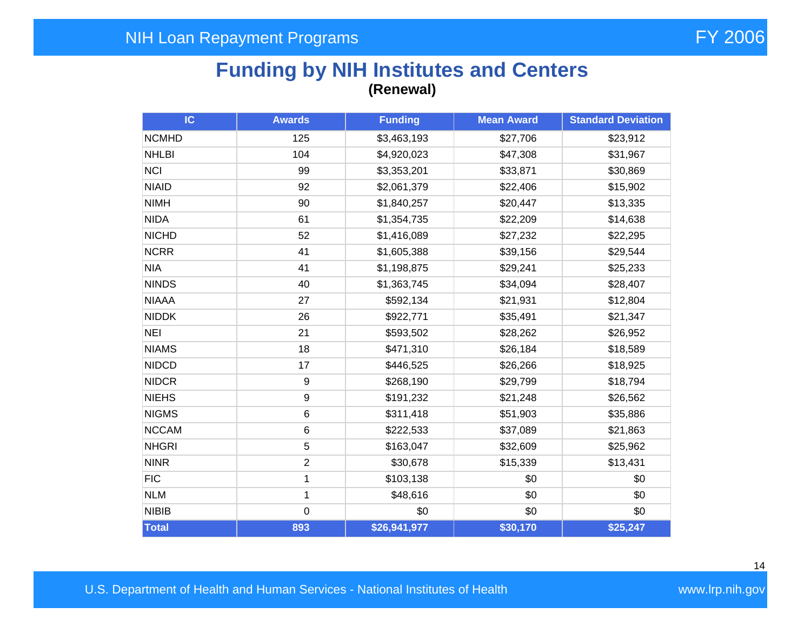## **Funding by NIH Institutes and Centers (Renewal)**

| IC.          | <b>Awards</b>  | <b>Funding</b> | <b>Mean Award</b> | <b>Standard Deviation</b> |
|--------------|----------------|----------------|-------------------|---------------------------|
| <b>NCMHD</b> | 125            | \$3,463,193    | \$27,706          | \$23,912                  |
| <b>NHLBI</b> | 104            | \$4,920,023    | \$47,308          | \$31,967                  |
| <b>NCI</b>   | 99             | \$3,353,201    | \$33,871          | \$30,869                  |
| <b>NIAID</b> | 92             | \$2,061,379    | \$22,406          | \$15,902                  |
| <b>NIMH</b>  | 90             | \$1,840,257    | \$20,447          | \$13,335                  |
| <b>NIDA</b>  | 61             | \$1,354,735    | \$22,209          | \$14,638                  |
| <b>NICHD</b> | 52             | \$1,416,089    | \$27,232          | \$22,295                  |
| <b>NCRR</b>  | 41             | \$1,605,388    | \$39,156          | \$29,544                  |
| <b>NIA</b>   | 41             | \$1,198,875    | \$29,241          | \$25,233                  |
| <b>NINDS</b> | 40             | \$1,363,745    | \$34,094          | \$28,407                  |
| <b>NIAAA</b> | 27             | \$592,134      | \$21,931          | \$12,804                  |
| <b>NIDDK</b> | 26             | \$922,771      | \$35,491          | \$21,347                  |
| <b>NEI</b>   | 21             | \$593,502      | \$28,262          | \$26,952                  |
| <b>NIAMS</b> | 18             | \$471,310      | \$26,184          | \$18,589                  |
| <b>NIDCD</b> | 17             | \$446,525      | \$26,266          | \$18,925                  |
| <b>NIDCR</b> | 9              | \$268,190      | \$29,799          | \$18,794                  |
| <b>NIEHS</b> | 9              | \$191,232      | \$21,248          | \$26,562                  |
| <b>NIGMS</b> | 6              | \$311,418      | \$51,903          | \$35,886                  |
| <b>NCCAM</b> | 6              | \$222,533      | \$37,089          | \$21,863                  |
| <b>NHGRI</b> | 5              | \$163,047      | \$32,609          | \$25,962                  |
| <b>NINR</b>  | $\overline{2}$ | \$30,678       | \$15,339          | \$13,431                  |
| <b>FIC</b>   | 1              | \$103,138      | \$0               | \$0                       |
| <b>NLM</b>   | $\mathbf 1$    | \$48,616       | \$0               | \$0                       |
| <b>NIBIB</b> | $\mathbf 0$    | \$0            | \$0               | \$0                       |
| Total        | 893            | \$26,941,977   | \$30,170          | \$25,247                  |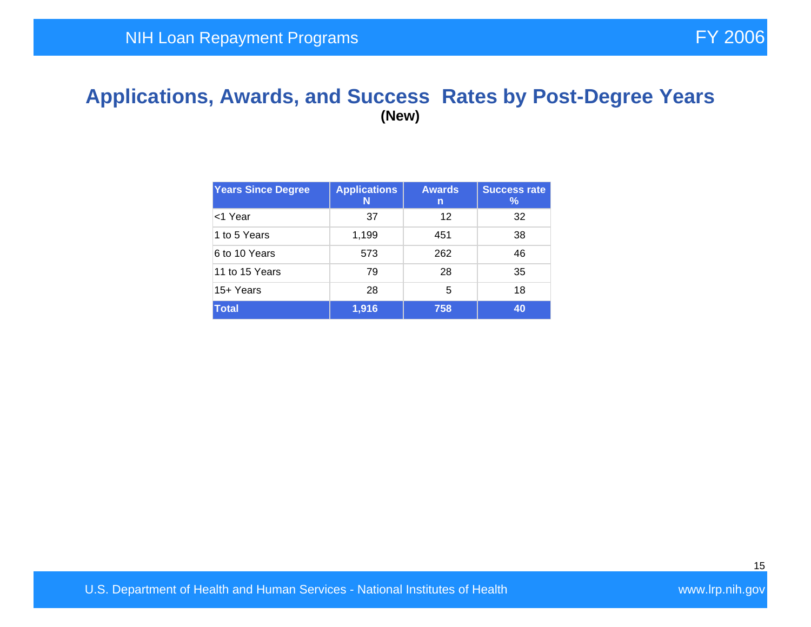#### **Applications, Awards, and Success Rates by Post-Degree Years (New)**

| <b>Years Since Degree</b> | <b>Applications</b><br>N | <b>Awards</b><br>n | <b>Success rate</b><br>$\frac{9}{6}$ |
|---------------------------|--------------------------|--------------------|--------------------------------------|
| <1 Year                   | 37                       | 12                 | 32                                   |
| 1 to 5 Years              | 1,199                    | 451                | 38                                   |
| 6 to 10 Years             | 573                      | 262                | 46                                   |
| 11 to 15 Years            | 79                       | 28                 | 35                                   |
| 15+ Years                 | 28                       | 5                  | 18                                   |
| <b>Total</b>              | 1,916                    | 758                | 40                                   |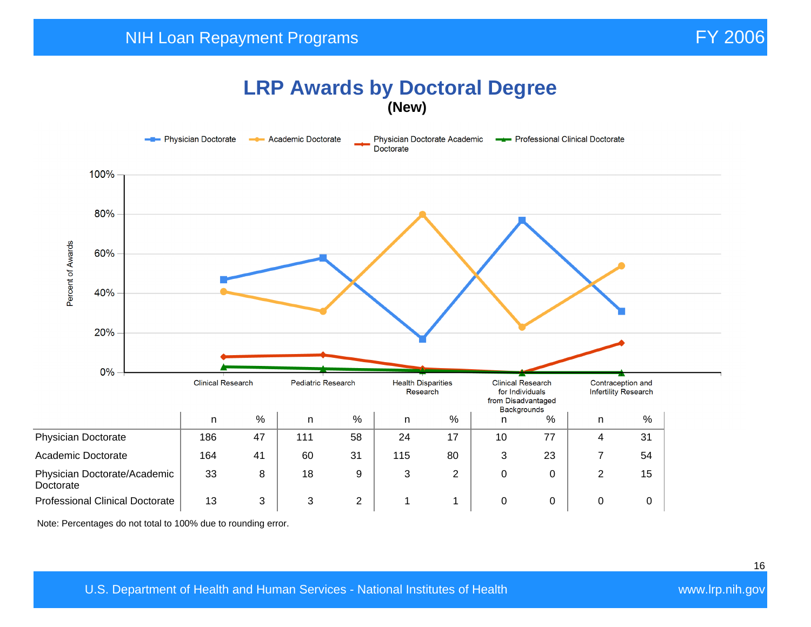#### **LRP Awards by Doctoral Degree (New)**



Note: Percentages do not total to 100% due to rounding error.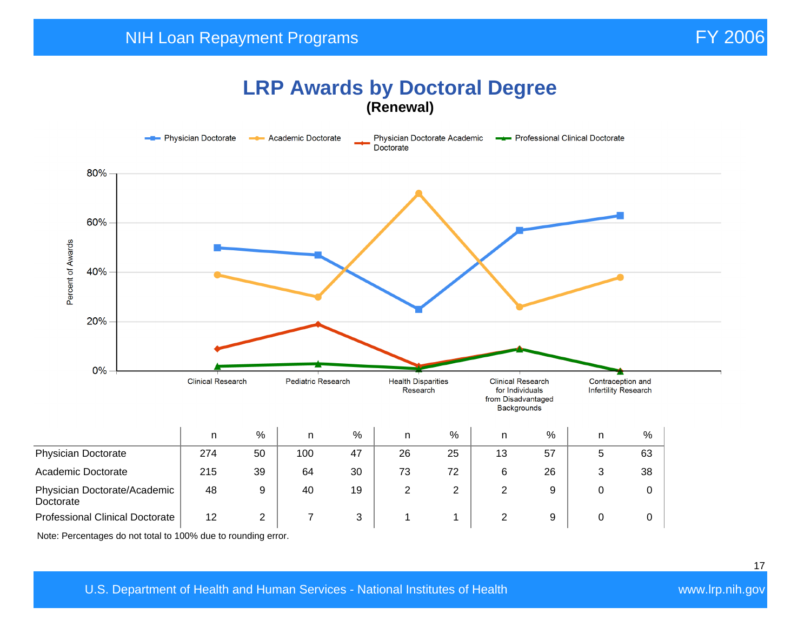## **LRP Awards by Doctoral Degree (Renewal)**



Note: Percentages do not total to 100% due to rounding error.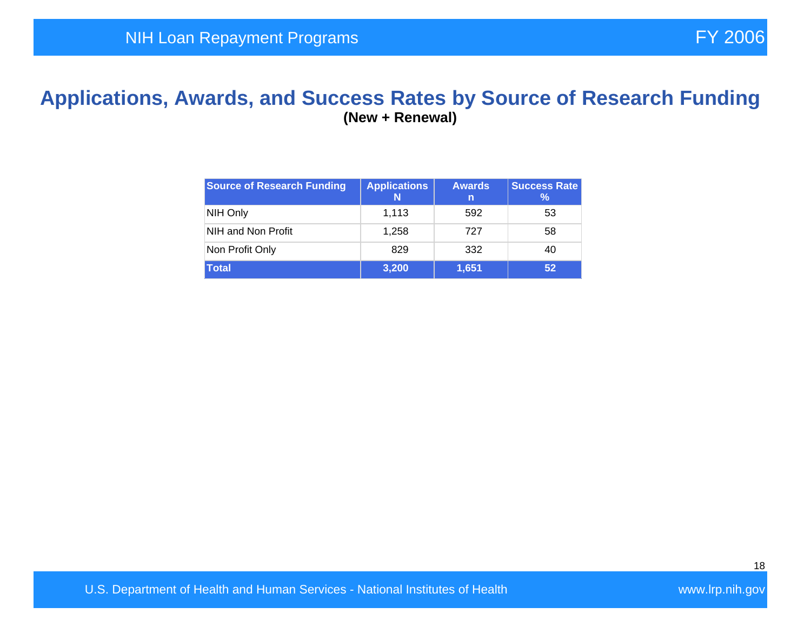#### **Applications, Awards, and Success Rates by Source of Research Funding (New + Renewal)**

| <b>Source of Research Funding</b> | <b>Applications</b> | <b>Awards</b><br>n | <b>Success Rate</b><br>℅ |
|-----------------------------------|---------------------|--------------------|--------------------------|
| NIH Only                          | 1.113               | 592                | 53                       |
| NIH and Non Profit                | 1.258               | 727                | 58                       |
| Non Profit Only                   | 829                 | 332                | 40                       |
| <b>Total</b>                      | 3,200               | 1,651              | 52                       |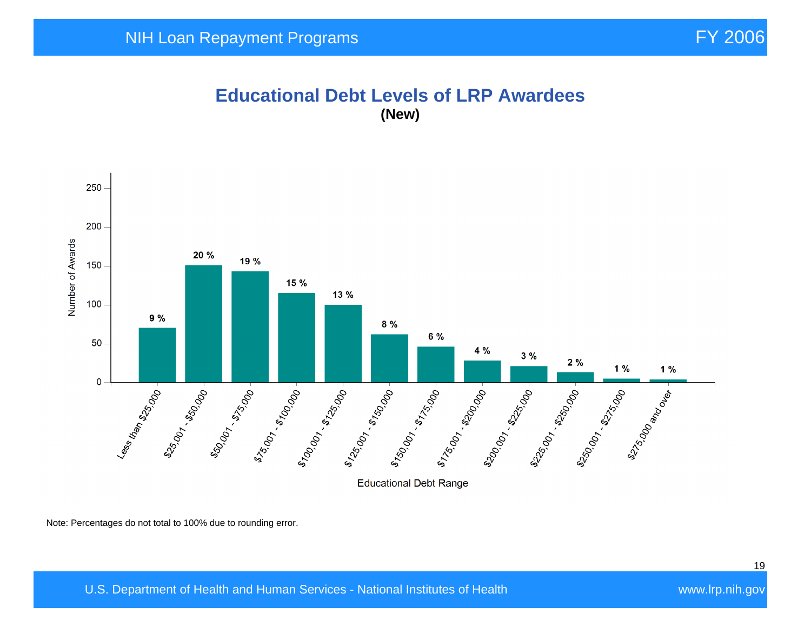#### **Educational Debt Levels of LRP Awardees (New)**



Note: Percentages do not total to 100% due to rounding error.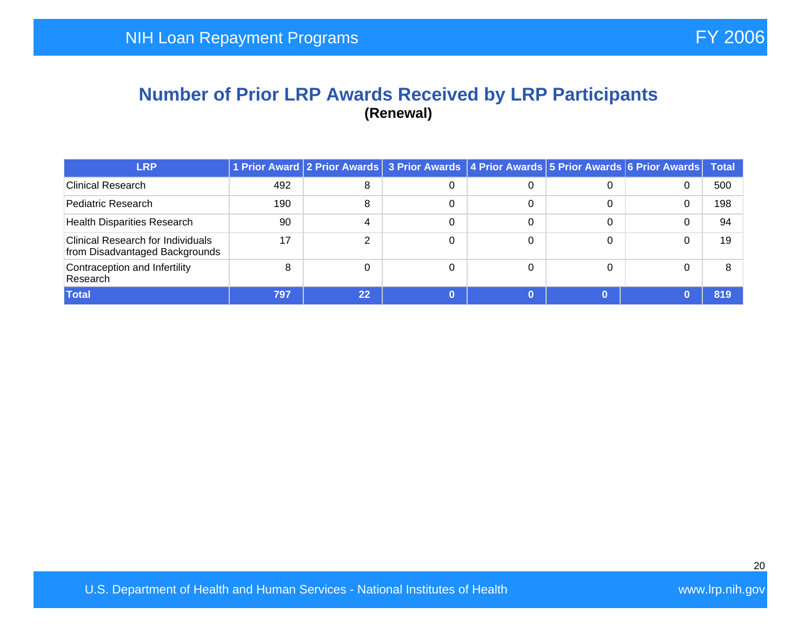#### **Number of Prior LRP Awards Received by LRP Participants (Renewal)**

| <b>LRP</b>                                                                 |     |    | 1 Prior Award 2 Prior Awards 3 Prior Awards 4 Prior Awards 5 Prior Awards 6 Prior Awards |   |   |   | Total |
|----------------------------------------------------------------------------|-----|----|------------------------------------------------------------------------------------------|---|---|---|-------|
| <b>Clinical Research</b>                                                   | 492 | 8  |                                                                                          |   | 0 | 0 | 500   |
| Pediatric Research                                                         | 190 | 8  |                                                                                          |   | 0 |   | 198   |
| <b>Health Disparities Research</b>                                         | 90  | 4  |                                                                                          | 0 | 0 |   | 94    |
| <b>Clinical Research for Individuals</b><br>from Disadvantaged Backgrounds | 17  | ◠  |                                                                                          |   | 0 |   | 19    |
| Contraception and Infertility<br>Research                                  | 8   |    |                                                                                          |   | 0 |   |       |
| Total                                                                      | 797 | 22 |                                                                                          |   |   |   | 819   |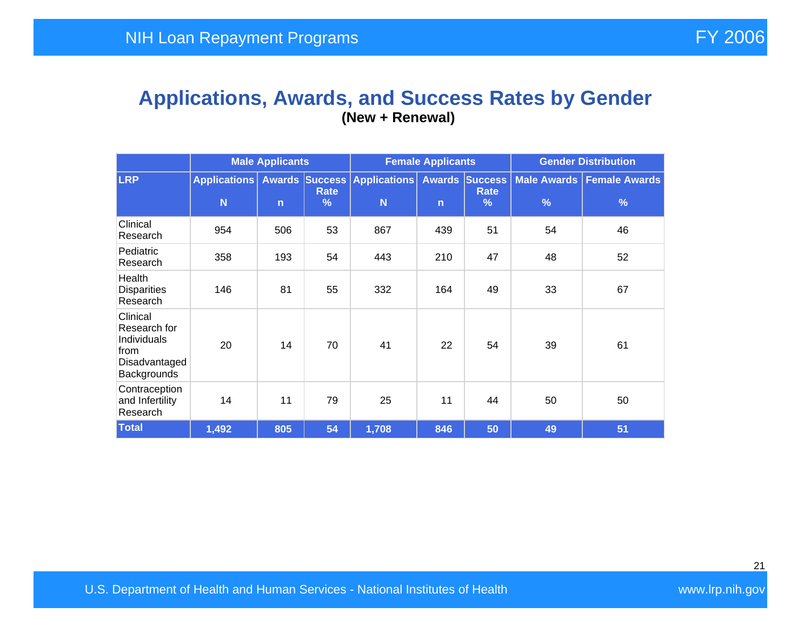#### **Applications, Awards, and Success Rates by Gender (New + Renewal)**

|                                                                                 | <b>Male Applicants</b>   |              |                       | <b>Female Applicants</b>                |              |                                              | <b>Gender Distribution</b> |                                    |  |
|---------------------------------------------------------------------------------|--------------------------|--------------|-----------------------|-----------------------------------------|--------------|----------------------------------------------|----------------------------|------------------------------------|--|
| <b>LRP</b>                                                                      | <b>Applications</b><br>N | $\mathsf{n}$ | Rate<br>$\frac{9}{6}$ | <b>Awards Success Applications</b><br>N | $\mathsf{n}$ | <b>Awards Success</b><br><b>Rate</b><br>$\%$ | $\frac{9}{6}$              | Male Awards   Female Awards  <br>% |  |
| Clinical<br>Research                                                            | 954                      | 506          | 53                    | 867                                     | 439          | 51                                           | 54                         | 46                                 |  |
| Pediatric<br>Research                                                           | 358                      | 193          | 54                    | 443                                     | 210          | 47                                           | 48                         | 52                                 |  |
| Health<br><b>Disparities</b><br>Research                                        | 146                      | 81           | 55                    | 332                                     | 164          | 49                                           | 33                         | 67                                 |  |
| Clinical<br>Research for<br>Individuals<br>from<br>Disadvantaged<br>Backgrounds | 20                       | 14           | 70                    | 41                                      | 22           | 54                                           | 39                         | 61                                 |  |
| Contraception<br>and Infertility<br>Research                                    | 14                       | 11           | 79                    | 25                                      | 11           | 44                                           | 50                         | 50                                 |  |
| <b>Total</b>                                                                    | 1,492                    | 805          | 54                    | 1,708                                   | 846          | 50                                           | 49                         | 51                                 |  |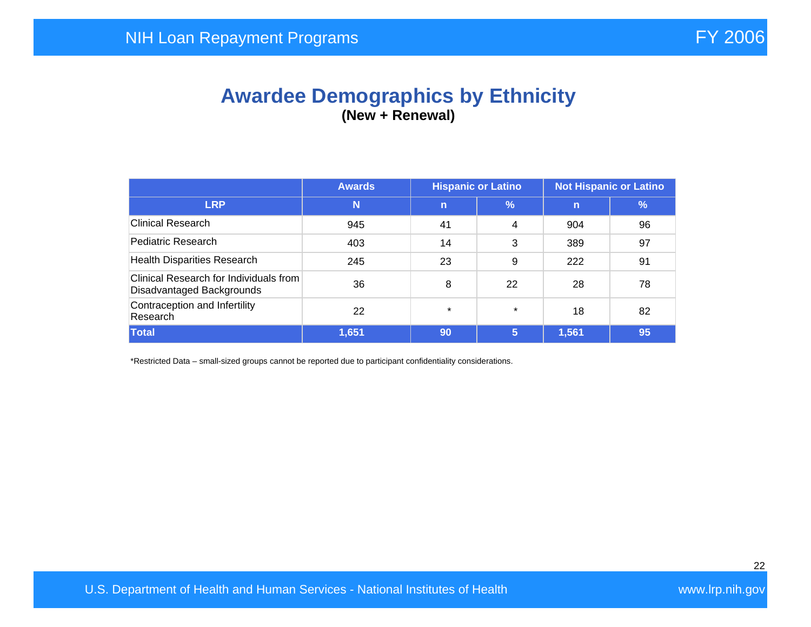## **Awardee Demographics by Ethnicity (New + Renewal)**

|                                                                     | <b>Awards</b> | <b>Hispanic or Latino</b> |         | <b>Not Hispanic or Latino</b> |    |  |
|---------------------------------------------------------------------|---------------|---------------------------|---------|-------------------------------|----|--|
| <b>LRP</b>                                                          | N             | $\mathsf{n}$              | %       | $\mathbf n$                   | %  |  |
| <b>Clinical Research</b>                                            | 945           | 41                        | 4       | 904                           | 96 |  |
| Pediatric Research                                                  | 403           | 14                        | 3       | 389                           | 97 |  |
| <b>Health Disparities Research</b>                                  | 245           | 23                        | 9       | 222                           | 91 |  |
| Clinical Research for Individuals from<br>Disadvantaged Backgrounds | 36            | 8                         | 22      | 28                            | 78 |  |
| Contraception and Infertility<br>Research                           | 22            | $\star$                   | $\star$ | 18                            | 82 |  |
| Total                                                               | 1,651         | 90                        | 5       | 1,561                         | 95 |  |

\*Restricted Data – small-sized groups cannot be reported due to participant confidentiality considerations.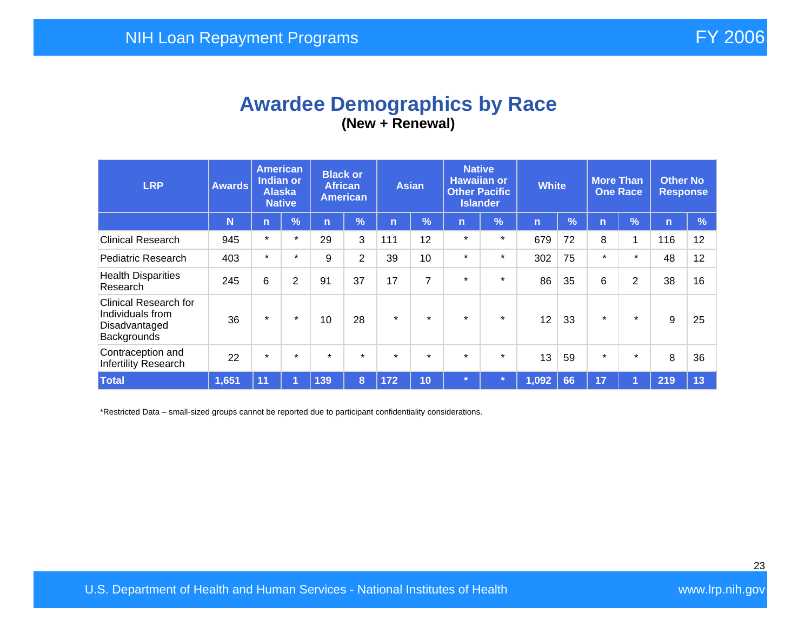## **Awardee Demographics by Race (New + Renewal)**

| <b>LRP</b>                                                                       | <b>Awards</b> | <b>American</b><br><b>Indian or</b><br><b>Alaska</b><br><b>Native</b> |                | <b>Black or</b><br><b>African</b><br><b>American</b> |         | <b>Asian</b> |               | <b>Native</b><br><b>Hawaiian or</b><br><b>Other Pacific</b><br><b>Islander</b> |               | <b>White</b>   |    | <b>More Than</b><br><b>One Race</b> |                | <b>Other No</b><br><b>Response</b> |               |
|----------------------------------------------------------------------------------|---------------|-----------------------------------------------------------------------|----------------|------------------------------------------------------|---------|--------------|---------------|--------------------------------------------------------------------------------|---------------|----------------|----|-------------------------------------|----------------|------------------------------------|---------------|
|                                                                                  | N             | $\overline{n}$                                                        | $\frac{9}{6}$  | 'n                                                   | %       | 'n           | $\frac{9}{6}$ | n                                                                              | $\frac{9}{6}$ | $\overline{n}$ | %  | n                                   | $\sqrt{2}$     | $\mathsf{n}$                       | $\frac{9}{6}$ |
| <b>Clinical Research</b>                                                         | 945           | $\star$                                                               | $\star$        | 29                                                   | 3       | 111          | 12            | $\star$                                                                        | $\star$       | 679            | 72 | 8                                   | 1              | 116                                | 12            |
| Pediatric Research                                                               | 403           | $\star$                                                               | $\star$        | 9                                                    | 2       | 39           | 10            | $\star$                                                                        | $\star$       | 302            | 75 | $\star$                             | $\star$        | 48                                 | 12            |
| <b>Health Disparities</b><br>Research                                            | 245           | 6                                                                     | $\overline{2}$ | 91                                                   | 37      | 17           | 7             | $\star$                                                                        | $\star$       | 86             | 35 | 6                                   | $\overline{2}$ | 38                                 | 16            |
| <b>Clinical Research for</b><br>Individuals from<br>Disadvantaged<br>Backgrounds | 36            | $\star$                                                               | $\star$        | 10                                                   | 28      | $\star$      | $\star$       | $\star$                                                                        | $\star$       | 12             | 33 | $\star$                             | $\star$        | 9                                  | 25            |
| Contraception and<br>Infertility Research                                        | 22            | $\star$                                                               | $\star$        | $\star$                                              | $\star$ | $\star$      | $\star$       | $\star$                                                                        | $\star$       | 13             | 59 | $\star$                             | $\star$        | 8                                  | 36            |
| <b>Total</b>                                                                     | 1,651         | 11                                                                    |                | 139                                                  | 8       | 172          | 10            | $\star$                                                                        |               | 1,092          | 66 | 17                                  |                | 219                                | 13            |

\*Restricted Data – small-sized groups cannot be reported due to participant confidentiality considerations.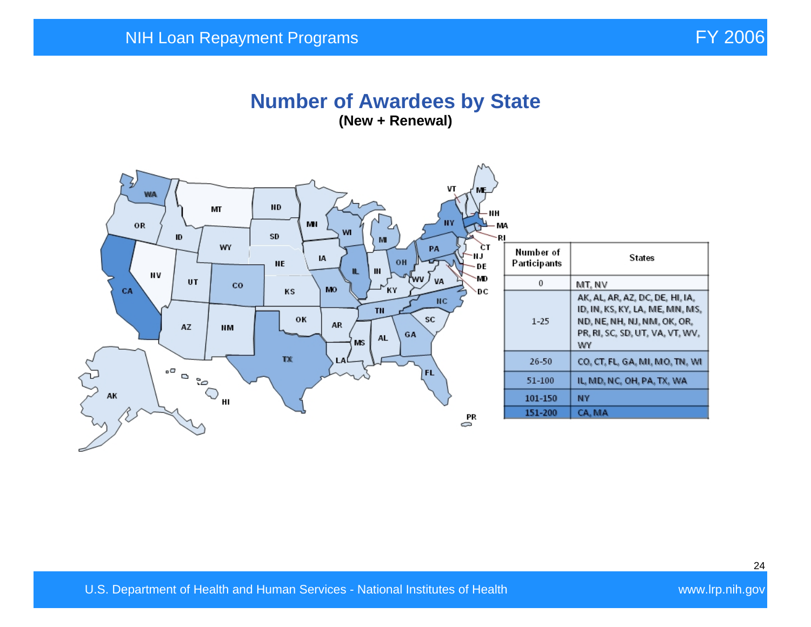#### **Number of Awardees by State (New + Renewal)**